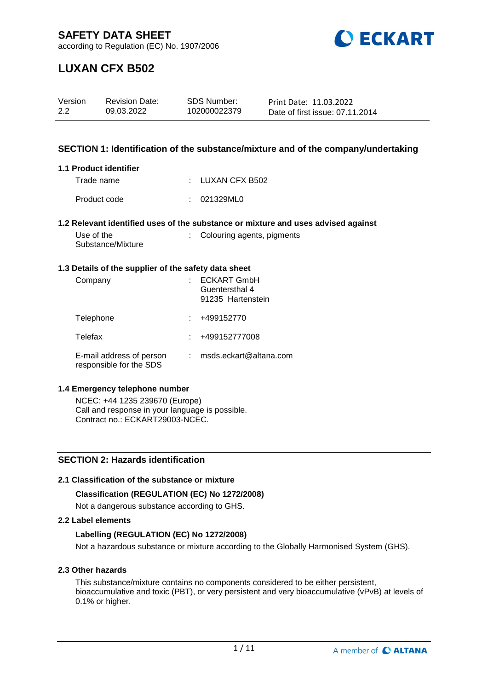

according to Regulation (EC) No. 1907/2006

# **LUXAN CFX B502**

| Version | <b>Revision Date:</b> | SDS Number:  | Print Date: 11.03.2022          |
|---------|-----------------------|--------------|---------------------------------|
| 2.2     | 09.03.2022            | 102000022379 | Date of first issue: 07.11.2014 |

#### **SECTION 1: Identification of the substance/mixture and of the company/undertaking**

#### **1.1 Product identifier**

| Trade name   | : LUXAN CFX B502 |
|--------------|------------------|
| Product code | : 021329ML0      |

#### **1.2 Relevant identified uses of the substance or mixture and uses advised against**

| Use of the        | : Colouring agents, pigments |
|-------------------|------------------------------|
| Substance/Mixture |                              |

#### **1.3 Details of the supplier of the safety data sheet**

| Company                                             | <b>ECKART GmbH</b><br>Guentersthal 4<br>91235 Hartenstein |
|-----------------------------------------------------|-----------------------------------------------------------|
| Telephone                                           | +499152770                                                |
| Telefax                                             | +499152777008                                             |
| E-mail address of person<br>responsible for the SDS | msds.eckart@altana.com                                    |

#### **1.4 Emergency telephone number**

NCEC: +44 1235 239670 (Europe) Call and response in your language is possible. Contract no.: ECKART29003-NCEC.

#### **SECTION 2: Hazards identification**

#### **2.1 Classification of the substance or mixture**

#### **Classification (REGULATION (EC) No 1272/2008)**

Not a dangerous substance according to GHS.

#### **2.2 Label elements**

#### **Labelling (REGULATION (EC) No 1272/2008)**

Not a hazardous substance or mixture according to the Globally Harmonised System (GHS).

#### **2.3 Other hazards**

This substance/mixture contains no components considered to be either persistent, bioaccumulative and toxic (PBT), or very persistent and very bioaccumulative (vPvB) at levels of 0.1% or higher.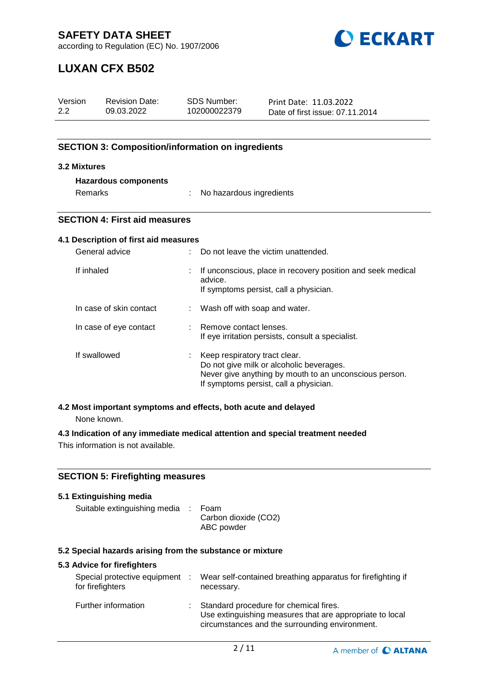

according to Regulation (EC) No. 1907/2006

# **LUXAN CFX B502**

| Version<br>2.2                                                                                                                | <b>Revision Date:</b><br>09.03.2022                                            |                           | <b>SDS Number:</b><br>102000022379                                                                                                                                            | Print Date: 11.03.2022<br>Date of first issue: 07.11.2014                      |  |
|-------------------------------------------------------------------------------------------------------------------------------|--------------------------------------------------------------------------------|---------------------------|-------------------------------------------------------------------------------------------------------------------------------------------------------------------------------|--------------------------------------------------------------------------------|--|
|                                                                                                                               | <b>SECTION 3: Composition/information on ingredients</b>                       |                           |                                                                                                                                                                               |                                                                                |  |
| 3.2 Mixtures                                                                                                                  |                                                                                |                           |                                                                                                                                                                               |                                                                                |  |
|                                                                                                                               | <b>Hazardous components</b>                                                    |                           |                                                                                                                                                                               |                                                                                |  |
|                                                                                                                               | Remarks                                                                        |                           | No hazardous ingredients                                                                                                                                                      |                                                                                |  |
|                                                                                                                               | <b>SECTION 4: First aid measures</b>                                           |                           |                                                                                                                                                                               |                                                                                |  |
|                                                                                                                               | 4.1 Description of first aid measures                                          |                           |                                                                                                                                                                               |                                                                                |  |
| General advice                                                                                                                |                                                                                |                           | Do not leave the victim unattended.                                                                                                                                           |                                                                                |  |
| If inhaled                                                                                                                    |                                                                                |                           | If unconscious, place in recovery position and seek medical<br>advice.<br>If symptoms persist, call a physician.                                                              |                                                                                |  |
|                                                                                                                               | In case of skin contact                                                        | $\mathbb{Z}^{\mathbb{Z}}$ | Wash off with soap and water.                                                                                                                                                 |                                                                                |  |
|                                                                                                                               | In case of eye contact                                                         |                           | Remove contact lenses.<br>If eye irritation persists, consult a specialist.                                                                                                   |                                                                                |  |
|                                                                                                                               | If swallowed                                                                   |                           | Keep respiratory tract clear.<br>Do not give milk or alcoholic beverages.<br>Never give anything by mouth to an unconscious person.<br>If symptoms persist, call a physician. |                                                                                |  |
|                                                                                                                               | 4.2 Most important symptoms and effects, both acute and delayed<br>None known. |                           |                                                                                                                                                                               |                                                                                |  |
|                                                                                                                               | This information is not available.                                             |                           |                                                                                                                                                                               | 4.3 Indication of any immediate medical attention and special treatment needed |  |
|                                                                                                                               | <b>SECTION 5: Firefighting measures</b>                                        |                           |                                                                                                                                                                               |                                                                                |  |
|                                                                                                                               | 5.1 Extinguishing media                                                        |                           |                                                                                                                                                                               |                                                                                |  |
|                                                                                                                               | Suitable extinguishing media<br>Foam<br>Carbon dioxide (CO2)<br>ABC powder     |                           |                                                                                                                                                                               |                                                                                |  |
|                                                                                                                               | 5.2 Special hazards arising from the substance or mixture                      |                           |                                                                                                                                                                               |                                                                                |  |
|                                                                                                                               | 5.3 Advice for firefighters                                                    |                           |                                                                                                                                                                               |                                                                                |  |
| Special protective equipment<br>Wear self-contained breathing apparatus for firefighting if<br>for firefighters<br>necessary. |                                                                                |                           |                                                                                                                                                                               |                                                                                |  |

| Further information | Standard procedure for chemical fires.<br>Use extinguishing measures that are appropriate to local<br>circumstances and the surrounding environment. |
|---------------------|------------------------------------------------------------------------------------------------------------------------------------------------------|
|                     |                                                                                                                                                      |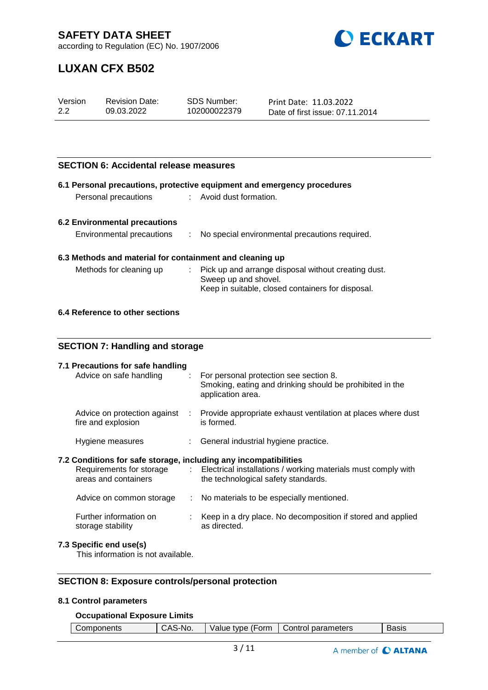

according to Regulation (EC) No. 1907/2006

## **LUXAN CFX B502**

| Version | <b>Revision Date:</b> | SDS Number:  | Print Date: 11.03.2022          |
|---------|-----------------------|--------------|---------------------------------|
| 2.2     | 09.03.2022            | 102000022379 | Date of first issue: 07.11.2014 |

#### **SECTION 6: Accidental release measures**

|                                                                                              |    | 6.1 Personal precautions, protective equipment and emergency procedures                            |
|----------------------------------------------------------------------------------------------|----|----------------------------------------------------------------------------------------------------|
| Personal precautions                                                                         |    | Avoid dust formation.                                                                              |
|                                                                                              |    |                                                                                                    |
| <b>6.2 Environmental precautions</b>                                                         |    |                                                                                                    |
| Environmental precautions                                                                    | ÷. | No special environmental precautions required.                                                     |
|                                                                                              |    |                                                                                                    |
| 6.3 Methods and material for containment and cleaning up                                     |    |                                                                                                    |
| Methods for cleaning up                                                                      |    | Pick up and arrange disposal without creating dust.                                                |
|                                                                                              |    | Sweep up and shovel.                                                                               |
|                                                                                              |    | Keep in suitable, closed containers for disposal.                                                  |
| 6.4 Reference to other sections                                                              |    |                                                                                                    |
|                                                                                              |    |                                                                                                    |
|                                                                                              |    |                                                                                                    |
| <b>SECTION 7: Handling and storage</b>                                                       |    |                                                                                                    |
|                                                                                              |    |                                                                                                    |
| 7.1 Precautions for safe handling                                                            |    |                                                                                                    |
| Advice on safe handling                                                                      | ÷. | For personal protection see section 8.<br>Smoking, eating and drinking should be prohibited in the |
|                                                                                              |    | application area.                                                                                  |
|                                                                                              |    |                                                                                                    |
| Advice on protection against<br>fire and explosion                                           |    | Provide appropriate exhaust ventilation at places where dust<br>is formed.                         |
|                                                                                              |    |                                                                                                    |
| Hygiene measures                                                                             |    | General industrial hygiene practice.                                                               |
|                                                                                              |    |                                                                                                    |
| 7.2 Conditions for safe storage, including any incompatibilities<br>Requirements for storage |    | Electrical installations / working materials must comply with                                      |
| areas and containers                                                                         |    | the technological safety standards.                                                                |
|                                                                                              |    |                                                                                                    |
| Advice on common storage                                                                     |    | : No materials to be especially mentioned.                                                         |
| Further information on                                                                       | ÷. | Keep in a dry place. No decomposition if stored and applied                                        |
| storage stability                                                                            |    | as directed.                                                                                       |
| 7.3 Specific end use(s)                                                                      |    |                                                                                                    |
|                                                                                              |    |                                                                                                    |

This information is not available.

### **SECTION 8: Exposure controls/personal protection**

#### **8.1 Control parameters**

#### **Occupational Exposure Limits**

| $\mathbf{v}$<br>parameters<br>Form<br>ا ontrol<br>tvpe<br>∴∩m⊾<br>$      -$<br>alue<br>$\lambda$ - $\lambda$<br>No.<br><b>Basic</b><br>onents |
|-----------------------------------------------------------------------------------------------------------------------------------------------|
|-----------------------------------------------------------------------------------------------------------------------------------------------|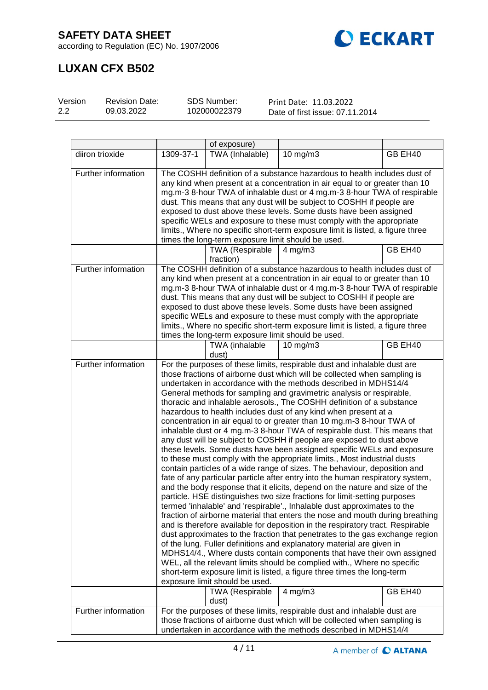



# **LUXAN CFX B502**

| Version | <b>Revision Date:</b> | SDS Number:  | Print Date: 11.03.2022          |
|---------|-----------------------|--------------|---------------------------------|
| 2.2     | 09.03.2022            | 102000022379 | Date of first issue: 07.11.2014 |

|                     |           | of exposure)                                       |                                                                                                                                                                                                                                                                                                                                                                                                                                                                                                                                                                                                                                                                                                                                                                                                                                                                                                                                                                                                                                                                                                                                                                                                                                                                                                                                                                                                                                                                                                                                                                                                                                                                                                                                                                                                       |         |
|---------------------|-----------|----------------------------------------------------|-------------------------------------------------------------------------------------------------------------------------------------------------------------------------------------------------------------------------------------------------------------------------------------------------------------------------------------------------------------------------------------------------------------------------------------------------------------------------------------------------------------------------------------------------------------------------------------------------------------------------------------------------------------------------------------------------------------------------------------------------------------------------------------------------------------------------------------------------------------------------------------------------------------------------------------------------------------------------------------------------------------------------------------------------------------------------------------------------------------------------------------------------------------------------------------------------------------------------------------------------------------------------------------------------------------------------------------------------------------------------------------------------------------------------------------------------------------------------------------------------------------------------------------------------------------------------------------------------------------------------------------------------------------------------------------------------------------------------------------------------------------------------------------------------------|---------|
| diiron trioxide     | 1309-37-1 | TWA (Inhalable)                                    | $10$ mg/m $3$                                                                                                                                                                                                                                                                                                                                                                                                                                                                                                                                                                                                                                                                                                                                                                                                                                                                                                                                                                                                                                                                                                                                                                                                                                                                                                                                                                                                                                                                                                                                                                                                                                                                                                                                                                                         | GB EH40 |
| Further information |           | times the long-term exposure limit should be used. | The COSHH definition of a substance hazardous to health includes dust of<br>any kind when present at a concentration in air equal to or greater than 10<br>mg.m-3 8-hour TWA of inhalable dust or 4 mg.m-3 8-hour TWA of respirable<br>dust. This means that any dust will be subject to COSHH if people are<br>exposed to dust above these levels. Some dusts have been assigned<br>specific WELs and exposure to these must comply with the appropriate<br>limits., Where no specific short-term exposure limit is listed, a figure three                                                                                                                                                                                                                                                                                                                                                                                                                                                                                                                                                                                                                                                                                                                                                                                                                                                                                                                                                                                                                                                                                                                                                                                                                                                           |         |
|                     |           | <b>TWA (Respirable</b><br>fraction)                | $4$ mg/m $3$                                                                                                                                                                                                                                                                                                                                                                                                                                                                                                                                                                                                                                                                                                                                                                                                                                                                                                                                                                                                                                                                                                                                                                                                                                                                                                                                                                                                                                                                                                                                                                                                                                                                                                                                                                                          | GB EH40 |
| Further information |           | times the long-term exposure limit should be used. | The COSHH definition of a substance hazardous to health includes dust of<br>any kind when present at a concentration in air equal to or greater than 10<br>mg.m-3 8-hour TWA of inhalable dust or 4 mg.m-3 8-hour TWA of respirable<br>dust. This means that any dust will be subject to COSHH if people are<br>exposed to dust above these levels. Some dusts have been assigned<br>specific WELs and exposure to these must comply with the appropriate<br>limits., Where no specific short-term exposure limit is listed, a figure three                                                                                                                                                                                                                                                                                                                                                                                                                                                                                                                                                                                                                                                                                                                                                                                                                                                                                                                                                                                                                                                                                                                                                                                                                                                           |         |
|                     |           | TWA (inhalable<br>dust)                            | $10$ mg/m $3$                                                                                                                                                                                                                                                                                                                                                                                                                                                                                                                                                                                                                                                                                                                                                                                                                                                                                                                                                                                                                                                                                                                                                                                                                                                                                                                                                                                                                                                                                                                                                                                                                                                                                                                                                                                         | GB EH40 |
| Further information |           | exposure limit should be used.                     | For the purposes of these limits, respirable dust and inhalable dust are<br>those fractions of airborne dust which will be collected when sampling is<br>undertaken in accordance with the methods described in MDHS14/4<br>General methods for sampling and gravimetric analysis or respirable,<br>thoracic and inhalable aerosols., The COSHH definition of a substance<br>hazardous to health includes dust of any kind when present at a<br>concentration in air equal to or greater than 10 mg.m-3 8-hour TWA of<br>inhalable dust or 4 mg.m-3 8-hour TWA of respirable dust. This means that<br>any dust will be subject to COSHH if people are exposed to dust above<br>these levels. Some dusts have been assigned specific WELs and exposure<br>to these must comply with the appropriate limits., Most industrial dusts<br>contain particles of a wide range of sizes. The behaviour, deposition and<br>fate of any particular particle after entry into the human respiratory system,<br>and the body response that it elicits, depend on the nature and size of the<br>particle. HSE distinguishes two size fractions for limit-setting purposes<br>termed 'inhalable' and 'respirable'., Inhalable dust approximates to the<br>fraction of airborne material that enters the nose and mouth during breathing<br>and is therefore available for deposition in the respiratory tract. Respirable<br>dust approximates to the fraction that penetrates to the gas exchange region<br>of the lung. Fuller definitions and explanatory material are given in<br>MDHS14/4., Where dusts contain components that have their own assigned<br>WEL, all the relevant limits should be complied with., Where no specific<br>short-term exposure limit is listed, a figure three times the long-term |         |
|                     |           | <b>TWA (Respirable</b><br>dust)                    | $4$ mg/m $3$                                                                                                                                                                                                                                                                                                                                                                                                                                                                                                                                                                                                                                                                                                                                                                                                                                                                                                                                                                                                                                                                                                                                                                                                                                                                                                                                                                                                                                                                                                                                                                                                                                                                                                                                                                                          | GB EH40 |
| Further information |           |                                                    | For the purposes of these limits, respirable dust and inhalable dust are<br>those fractions of airborne dust which will be collected when sampling is<br>undertaken in accordance with the methods described in MDHS14/4                                                                                                                                                                                                                                                                                                                                                                                                                                                                                                                                                                                                                                                                                                                                                                                                                                                                                                                                                                                                                                                                                                                                                                                                                                                                                                                                                                                                                                                                                                                                                                              |         |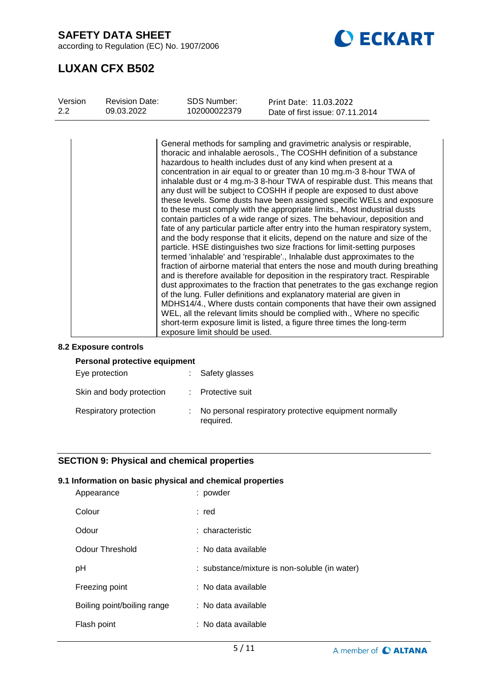according to Regulation (EC) No. 1907/2006



## **LUXAN CFX B502**

| Version<br>$2.2^{\circ}$ | <b>Revision Date:</b> | <b>SDS Number:</b>             | Print Date: 11.03.2022                                                                                                                                                                                                                                                                                                                                                                                                                                                                                                                                                                                                                                                                                                                                                                                                                                                                                                                                                                                                                                                                                                                                                                                                                                                                                                                                                                                                                                                                                                                                                    |
|--------------------------|-----------------------|--------------------------------|---------------------------------------------------------------------------------------------------------------------------------------------------------------------------------------------------------------------------------------------------------------------------------------------------------------------------------------------------------------------------------------------------------------------------------------------------------------------------------------------------------------------------------------------------------------------------------------------------------------------------------------------------------------------------------------------------------------------------------------------------------------------------------------------------------------------------------------------------------------------------------------------------------------------------------------------------------------------------------------------------------------------------------------------------------------------------------------------------------------------------------------------------------------------------------------------------------------------------------------------------------------------------------------------------------------------------------------------------------------------------------------------------------------------------------------------------------------------------------------------------------------------------------------------------------------------------|
|                          | 09.03.2022            | 102000022379                   | Date of first issue: 07.11.2014                                                                                                                                                                                                                                                                                                                                                                                                                                                                                                                                                                                                                                                                                                                                                                                                                                                                                                                                                                                                                                                                                                                                                                                                                                                                                                                                                                                                                                                                                                                                           |
|                          |                       | exposure limit should be used. | General methods for sampling and gravimetric analysis or respirable,<br>thoracic and inhalable aerosols., The COSHH definition of a substance<br>hazardous to health includes dust of any kind when present at a<br>concentration in air equal to or greater than 10 mg.m-3 8-hour TWA of<br>inhalable dust or 4 mg.m-3 8-hour TWA of respirable dust. This means that<br>any dust will be subject to COSHH if people are exposed to dust above<br>these levels. Some dusts have been assigned specific WELs and exposure<br>to these must comply with the appropriate limits., Most industrial dusts<br>contain particles of a wide range of sizes. The behaviour, deposition and<br>fate of any particular particle after entry into the human respiratory system,<br>and the body response that it elicits, depend on the nature and size of the<br>particle. HSE distinguishes two size fractions for limit-setting purposes<br>termed 'inhalable' and 'respirable'., Inhalable dust approximates to the<br>fraction of airborne material that enters the nose and mouth during breathing<br>and is therefore available for deposition in the respiratory tract. Respirable<br>dust approximates to the fraction that penetrates to the gas exchange region<br>of the lung. Fuller definitions and explanatory material are given in<br>MDHS14/4., Where dusts contain components that have their own assigned<br>WEL, all the relevant limits should be complied with., Where no specific<br>short-term exposure limit is listed, a figure three times the long-term |

#### **8.2 Exposure controls**

| Personal protective equipment |    |                                                                    |  |
|-------------------------------|----|--------------------------------------------------------------------|--|
| Eye protection                | t. | Safety glasses                                                     |  |
| Skin and body protection      |    | : Protective suit                                                  |  |
| Respiratory protection        |    | No personal respiratory protective equipment normally<br>required. |  |

#### **SECTION 9: Physical and chemical properties**

#### **9.1 Information on basic physical and chemical properties**

| Appearance                  | : powder                                      |
|-----------------------------|-----------------------------------------------|
| Colour                      | : red                                         |
| Odour                       | : characteristic                              |
| Odour Threshold             | : No data available                           |
| рH                          | : substance/mixture is non-soluble (in water) |
| Freezing point              | : No data available                           |
| Boiling point/boiling range | : No data available                           |
| Flash point                 | : No data available                           |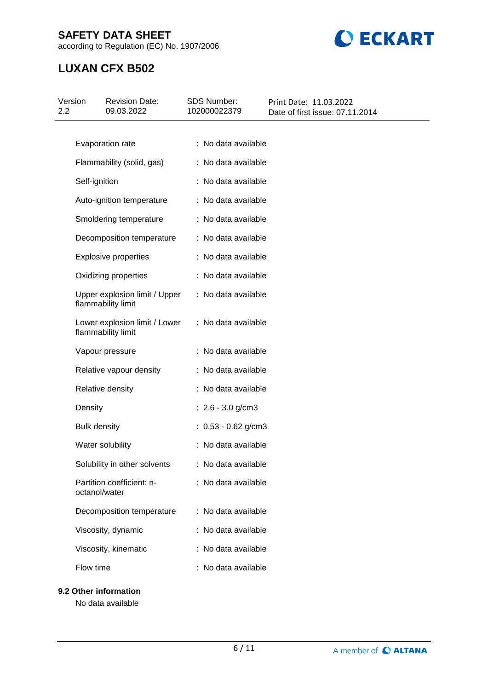according to Regulation (EC) No. 1907/2006



# **LUXAN CFX B502**

| Version<br>2.2 | <b>Revision Date:</b><br>09.03.2022                 | <b>SDS Number:</b><br>102000022379 | Print Date: 11.03.2022<br>Date of first issue: 07.11.2014 |
|----------------|-----------------------------------------------------|------------------------------------|-----------------------------------------------------------|
|                |                                                     |                                    |                                                           |
|                | Evaporation rate                                    | : No data available                |                                                           |
|                | Flammability (solid, gas)                           | : No data available                |                                                           |
|                | Self-ignition                                       | : No data available                |                                                           |
|                | Auto-ignition temperature                           | : No data available                |                                                           |
|                | Smoldering temperature                              | : No data available                |                                                           |
|                | Decomposition temperature                           | : No data available                |                                                           |
|                | <b>Explosive properties</b>                         | : No data available                |                                                           |
|                | Oxidizing properties                                | : No data available                |                                                           |
|                | Upper explosion limit / Upper<br>flammability limit | : No data available                |                                                           |
|                | Lower explosion limit / Lower<br>flammability limit | : No data available                |                                                           |
|                | Vapour pressure                                     | : No data available                |                                                           |
|                | Relative vapour density                             | : No data available                |                                                           |
|                | Relative density                                    | : No data available                |                                                           |
|                | Density                                             | : $2.6 - 3.0$ g/cm3                |                                                           |
|                | <b>Bulk density</b>                                 | $: 0.53 - 0.62$ g/cm3              |                                                           |
|                | Water solubility                                    | : No data available                |                                                           |
|                | Solubility in other solvents                        | : No data available                |                                                           |
|                | Partition coefficient: n-<br>octanol/water          | : No data available                |                                                           |
|                | Decomposition temperature                           | : No data available                |                                                           |
|                | Viscosity, dynamic                                  | : No data available                |                                                           |
|                | Viscosity, kinematic                                | : No data available                |                                                           |
|                | Flow time                                           | : No data available                |                                                           |
|                | 9.2 Other information                               |                                    |                                                           |

No data available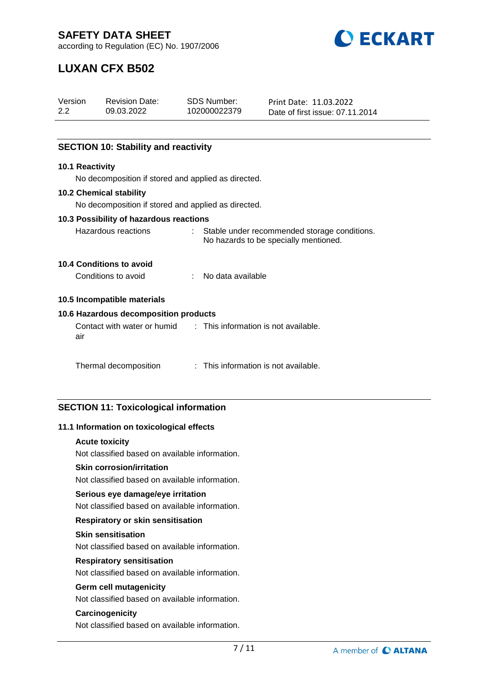**DECKART** 

according to Regulation (EC) No. 1907/2006

# **LUXAN CFX B502**

| Version<br>$2.2^{\circ}$                | <b>Revision Date:</b><br>09.03.2022                 |  | <b>SDS Number:</b><br>102000022379                                                      | Print Date: 11.03.2022          |  |  |  |
|-----------------------------------------|-----------------------------------------------------|--|-----------------------------------------------------------------------------------------|---------------------------------|--|--|--|
|                                         |                                                     |  |                                                                                         | Date of first issue: 07.11.2014 |  |  |  |
|                                         |                                                     |  |                                                                                         |                                 |  |  |  |
|                                         | <b>SECTION 10: Stability and reactivity</b>         |  |                                                                                         |                                 |  |  |  |
| <b>10.1 Reactivity</b>                  |                                                     |  |                                                                                         |                                 |  |  |  |
|                                         | No decomposition if stored and applied as directed. |  |                                                                                         |                                 |  |  |  |
|                                         | 10.2 Chemical stability                             |  |                                                                                         |                                 |  |  |  |
|                                         | No decomposition if stored and applied as directed. |  |                                                                                         |                                 |  |  |  |
| 10.3 Possibility of hazardous reactions |                                                     |  |                                                                                         |                                 |  |  |  |
|                                         | Hazardous reactions                                 |  | : Stable under recommended storage conditions.<br>No hazards to be specially mentioned. |                                 |  |  |  |
|                                         | 10.4 Conditions to avoid                            |  |                                                                                         |                                 |  |  |  |
|                                         | Conditions to avoid                                 |  | No data available                                                                       |                                 |  |  |  |

#### **10.5 Incompatible materials**

#### **10.6 Hazardous decomposition products**

Contact with water or humid air : This information is not available.

| This information is not available. |
|------------------------------------|
|                                    |

#### **SECTION 11: Toxicological information**

#### **11.1 Information on toxicological effects**

#### **Acute toxicity**

Not classified based on available information.

#### **Skin corrosion/irritation**

Not classified based on available information.

#### **Serious eye damage/eye irritation**

Not classified based on available information.

#### **Respiratory or skin sensitisation**

#### **Skin sensitisation**

Not classified based on available information.

#### **Respiratory sensitisation**

Not classified based on available information.

#### **Germ cell mutagenicity**

Not classified based on available information.

#### **Carcinogenicity**

Not classified based on available information.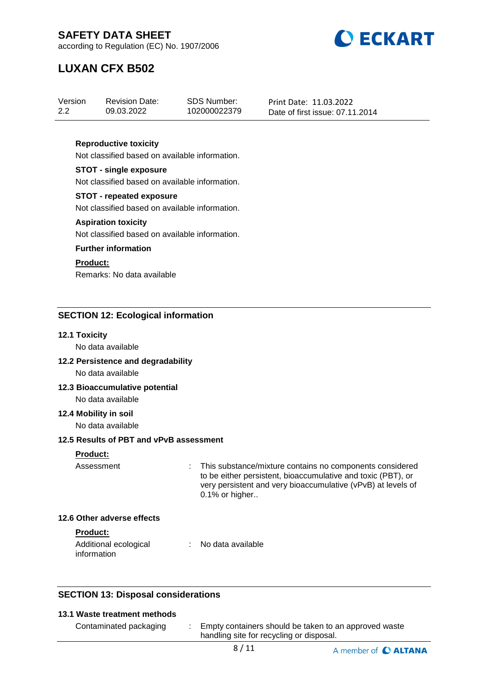

according to Regulation (EC) No. 1907/2006

# **LUXAN CFX B502**

| Version | <b>Revision Date:</b> | SDS Number:  | Print Date: 11.03.2022          |
|---------|-----------------------|--------------|---------------------------------|
| 2.2     | 09.03.2022            | 102000022379 | Date of first issue: 07.11.2014 |

#### **Reproductive toxicity**

Not classified based on available information.

#### **STOT - single exposure**

Not classified based on available information.

#### **STOT - repeated exposure**

Not classified based on available information.

#### **Aspiration toxicity**

Not classified based on available information.

#### **Further information**

#### **Product:**

Remarks: No data available

#### **SECTION 12: Ecological information**

#### **12.1 Toxicity**

No data available

#### **12.2 Persistence and degradability**

No data available

#### **12.3 Bioaccumulative potential**

### No data available

**12.4 Mobility in soil**

No data available

#### **12.5 Results of PBT and vPvB assessment**

### **Product:**

| Assessment | : This substance/mixture contains no components considered   |
|------------|--------------------------------------------------------------|
|            | to be either persistent, bioaccumulative and toxic (PBT), or |
|            | very persistent and very bioaccumulative (vPvB) at levels of |
|            | $0.1\%$ or higher                                            |

#### **12.6 Other adverse effects**

#### **Product:**

| Additional ecological | No data available |
|-----------------------|-------------------|
| information           |                   |

#### **SECTION 13: Disposal considerations**

#### **13.1 Waste treatment methods**

| Contaminated packaging | Empty containers should be taken to an approved waste |
|------------------------|-------------------------------------------------------|
|                        | handling site for recycling or disposal.              |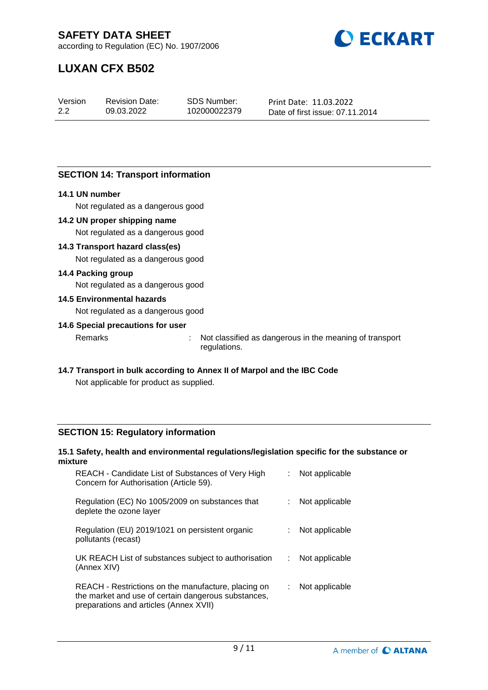

according to Regulation (EC) No. 1907/2006

# **LUXAN CFX B502**

| Version | <b>Revision Date:</b> | SDS Number:  | Print Date: 11.03.2022          |
|---------|-----------------------|--------------|---------------------------------|
| 2.2     | 09.03.2022            | 102000022379 | Date of first issue: 07.11.2014 |

#### **SECTION 14: Transport information**

#### **14.1 UN number**

Not regulated as a dangerous good

#### **14.2 UN proper shipping name**

Not regulated as a dangerous good

#### **14.3 Transport hazard class(es)**

Not regulated as a dangerous good

#### **14.4 Packing group**

Not regulated as a dangerous good

## **14.5 Environmental hazards**

Not regulated as a dangerous good

#### **14.6 Special precautions for user**

Remarks : Not classified as dangerous in the meaning of transport regulations.

## **14.7 Transport in bulk according to Annex II of Marpol and the IBC Code**

Not applicable for product as supplied.

#### **SECTION 15: Regulatory information**

#### **15.1 Safety, health and environmental regulations/legislation specific for the substance or mixture**

| REACH - Candidate List of Substances of Very High<br>Concern for Authorisation (Article 59).                                                         | Not applicable |
|------------------------------------------------------------------------------------------------------------------------------------------------------|----------------|
| Regulation (EC) No 1005/2009 on substances that<br>deplete the ozone layer                                                                           | Not applicable |
| Regulation (EU) 2019/1021 on persistent organic<br>pollutants (recast)                                                                               | Not applicable |
| UK REACH List of substances subject to authorisation<br>(Annex XIV)                                                                                  | Not applicable |
| REACH - Restrictions on the manufacture, placing on<br>the market and use of certain dangerous substances,<br>preparations and articles (Annex XVII) | Not applicable |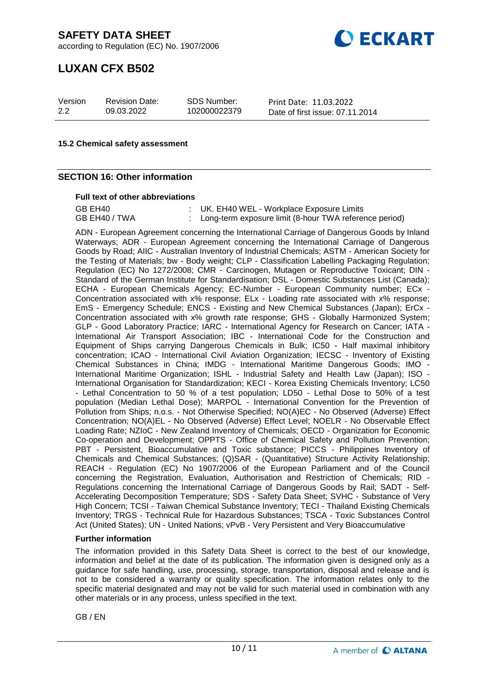according to Regulation (EC) No. 1907/2006



### **LUXAN CFX B502**

| Version | <b>Revision Date:</b> | SDS Number:  | Print Date: 11.03.2022          |
|---------|-----------------------|--------------|---------------------------------|
| 2.2     | 09.03.2022            | 102000022379 | Date of first issue: 07.11.2014 |

#### **15.2 Chemical safety assessment**

#### **SECTION 16: Other information**

#### **Full text of other abbreviations**

GB EH40 <br>GB EH40 / TWA : UK. EH40 WEL - Workplace Exposure Limits<br>CB EH40 / TWA : Long-term exposure limit (8-hour TWA referency : Long-term exposure limit (8-hour TWA reference period)

ADN - European Agreement concerning the International Carriage of Dangerous Goods by Inland Waterways; ADR - European Agreement concerning the International Carriage of Dangerous Goods by Road; AIIC - Australian Inventory of Industrial Chemicals; ASTM - American Society for the Testing of Materials; bw - Body weight; CLP - Classification Labelling Packaging Regulation; Regulation (EC) No 1272/2008; CMR - Carcinogen, Mutagen or Reproductive Toxicant; DIN - Standard of the German Institute for Standardisation; DSL - Domestic Substances List (Canada); ECHA - European Chemicals Agency; EC-Number - European Community number; ECx - Concentration associated with x% response; ELx - Loading rate associated with x% response; EmS - Emergency Schedule; ENCS - Existing and New Chemical Substances (Japan); ErCx - Concentration associated with x% growth rate response; GHS - Globally Harmonized System; GLP - Good Laboratory Practice; IARC - International Agency for Research on Cancer; IATA - International Air Transport Association; IBC - International Code for the Construction and Equipment of Ships carrying Dangerous Chemicals in Bulk; IC50 - Half maximal inhibitory concentration; ICAO - International Civil Aviation Organization; IECSC - Inventory of Existing Chemical Substances in China; IMDG - International Maritime Dangerous Goods; IMO - International Maritime Organization; ISHL - Industrial Safety and Health Law (Japan); ISO -International Organisation for Standardization; KECI - Korea Existing Chemicals Inventory; LC50 - Lethal Concentration to 50 % of a test population; LD50 - Lethal Dose to 50% of a test population (Median Lethal Dose); MARPOL - International Convention for the Prevention of Pollution from Ships; n.o.s. - Not Otherwise Specified; NO(A)EC - No Observed (Adverse) Effect Concentration; NO(A)EL - No Observed (Adverse) Effect Level; NOELR - No Observable Effect Loading Rate; NZIoC - New Zealand Inventory of Chemicals; OECD - Organization for Economic Co-operation and Development; OPPTS - Office of Chemical Safety and Pollution Prevention; PBT - Persistent, Bioaccumulative and Toxic substance; PICCS - Philippines Inventory of Chemicals and Chemical Substances; (Q)SAR - (Quantitative) Structure Activity Relationship; REACH - Regulation (EC) No 1907/2006 of the European Parliament and of the Council concerning the Registration, Evaluation, Authorisation and Restriction of Chemicals; RID - Regulations concerning the International Carriage of Dangerous Goods by Rail; SADT - Self-Accelerating Decomposition Temperature; SDS - Safety Data Sheet; SVHC - Substance of Very High Concern; TCSI - Taiwan Chemical Substance Inventory; TECI - Thailand Existing Chemicals Inventory; TRGS - Technical Rule for Hazardous Substances; TSCA - Toxic Substances Control Act (United States); UN - United Nations; vPvB - Very Persistent and Very Bioaccumulative

#### **Further information**

The information provided in this Safety Data Sheet is correct to the best of our knowledge, information and belief at the date of its publication. The information given is designed only as a guidance for safe handling, use, processing, storage, transportation, disposal and release and is not to be considered a warranty or quality specification. The information relates only to the specific material designated and may not be valid for such material used in combination with any other materials or in any process, unless specified in the text.

GB / EN